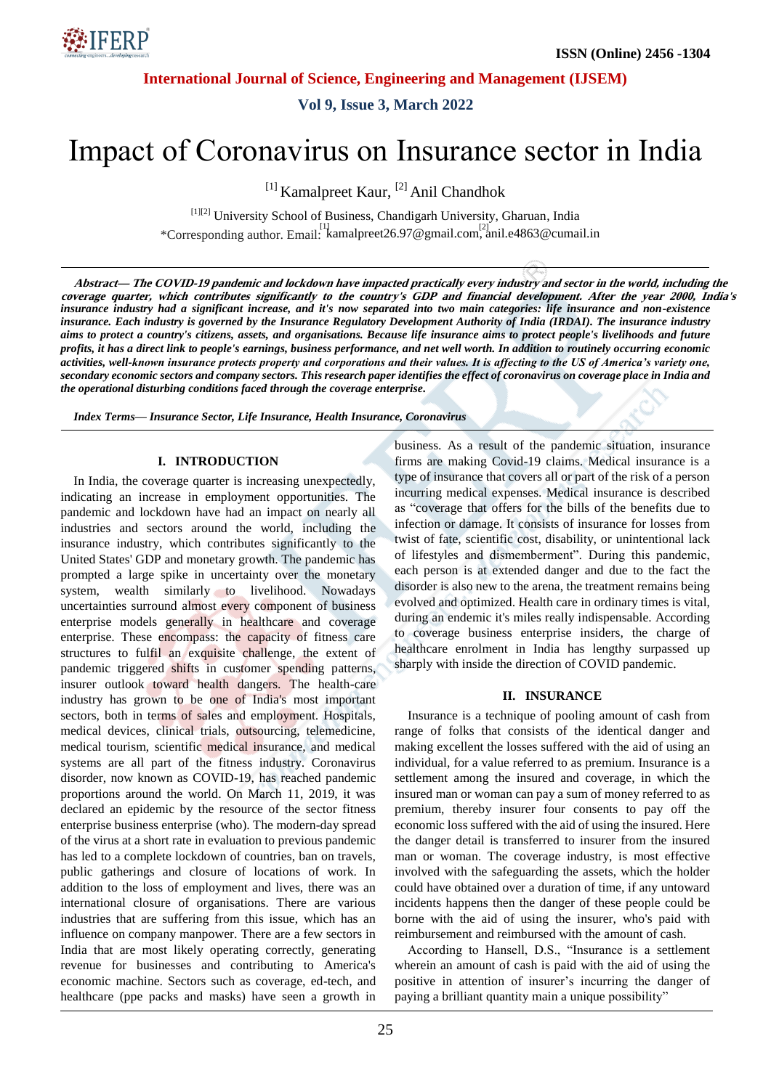

**Vol 9, Issue 3, March 2022**

# Impact of Coronavirus on Insurance sector in India

<sup>[1]</sup> Kamalpreet Kaur, <sup>[2]</sup> Anil Chandhok

[1][2] University School of Business, Chandigarh University, Gharuan, India \*Corresponding author. Email: kamalpreet26.97@gmail.com, anil.e4863@cumail.in

*insurance industry had a significant increase, and it's now separated into two main categories: life insurance and non-existence insurance. Each industry is governed by the Insurance Regulatory Development Authority of India (IRDAI). The insurance industry aims to protect a country's citizens, assets, and organisations. Because life insurance aims to protect people's livelihoods and future profits, it has a direct link to people's earnings, business performance, and net well worth. In addition to routinely occurring economic activities, well-known insurance protects property and corporations and their values. It is affecting to the US of America's variety one, secondary economic sectors and company sectors. This research paper identifies the effect of coronavirus on coverage place in India and the operational disturbing conditions faced through the coverage enterprise.* **Abstract— The COVID-19 pandemic and lockdown have impacted practically every industry and sector in the world, including the coverage quarter, which contributes significantly to the country's GDP and financial development. After the year 2000, India's**

*Index Terms— Insurance Sector, Life Insurance, Health Insurance, Coronavirus*

#### **I. INTRODUCTION**

In India, the coverage quarter is increasing unexpectedly, indicating an increase in employment opportunities. The pandemic and lockdown have had an impact on nearly all industries and sectors around the world, including the insurance industry, which contributes significantly to the United States' GDP and monetary growth. The pandemic has prompted a large spike in uncertainty over the monetary system, wealth similarly to livelihood. Nowadays uncertainties surround almost every component of business enterprise models generally in healthcare and coverage enterprise. These encompass: the capacity of fitness care structures to fulfil an exquisite challenge, the extent of pandemic triggered shifts in customer spending patterns, insurer outlook toward health dangers. The health-care industry has grown to be one of India's most important sectors, both in terms of sales and employment. Hospitals, medical devices, clinical trials, outsourcing, telemedicine, medical tourism, scientific medical insurance, and medical systems are all part of the fitness industry. Coronavirus disorder, now known as COVID-19, has reached pandemic proportions around the world. On March 11, 2019, it was declared an epidemic by the resource of the sector fitness enterprise business enterprise (who). The modern-day spread of the virus at a short rate in evaluation to previous pandemic has led to a complete lockdown of countries, ban on travels, public gatherings and closure of locations of work. In addition to the loss of employment and lives, there was an international closure of organisations. There are various industries that are suffering from this issue, which has an influence on company manpower. There are a few sectors in India that are most likely operating correctly, generating revenue for businesses and contributing to America's economic machine. Sectors such as coverage, ed-tech, and healthcare (ppe packs and masks) have seen a growth in business. As a result of the pandemic situation, insurance firms are making Covid-19 claims. Medical insurance is a type of insurance that covers all or part of the risk of a person incurring medical expenses. Medical insurance is described as "coverage that offers for the bills of the benefits due to infection or damage. It consists of insurance for losses from twist of fate, scientific cost, disability, or unintentional lack of lifestyles and dismemberment". During this pandemic, each person is at extended danger and due to the fact the disorder is also new to the arena, the treatment remains being evolved and optimized. Health care in ordinary times is vital, during an endemic it's miles really indispensable. According to coverage business enterprise insiders, the charge of healthcare enrolment in India has lengthy surpassed up sharply with inside the direction of COVID pandemic.

#### **II. INSURANCE**

Insurance is a technique of pooling amount of cash from range of folks that consists of the identical danger and making excellent the losses suffered with the aid of using an individual, for a value referred to as premium. Insurance is a settlement among the insured and coverage, in which the insured man or woman can pay a sum of money referred to as premium, thereby insurer four consents to pay off the economic loss suffered with the aid of using the insured. Here the danger detail is transferred to insurer from the insured man or woman. The coverage industry, is most effective involved with the safeguarding the assets, which the holder could have obtained over a duration of time, if any untoward incidents happens then the danger of these people could be borne with the aid of using the insurer, who's paid with reimbursement and reimbursed with the amount of cash.

According to Hansell, D.S., "Insurance is a settlement wherein an amount of cash is paid with the aid of using the positive in attention of insurer's incurring the danger of paying a brilliant quantity main a unique possibility"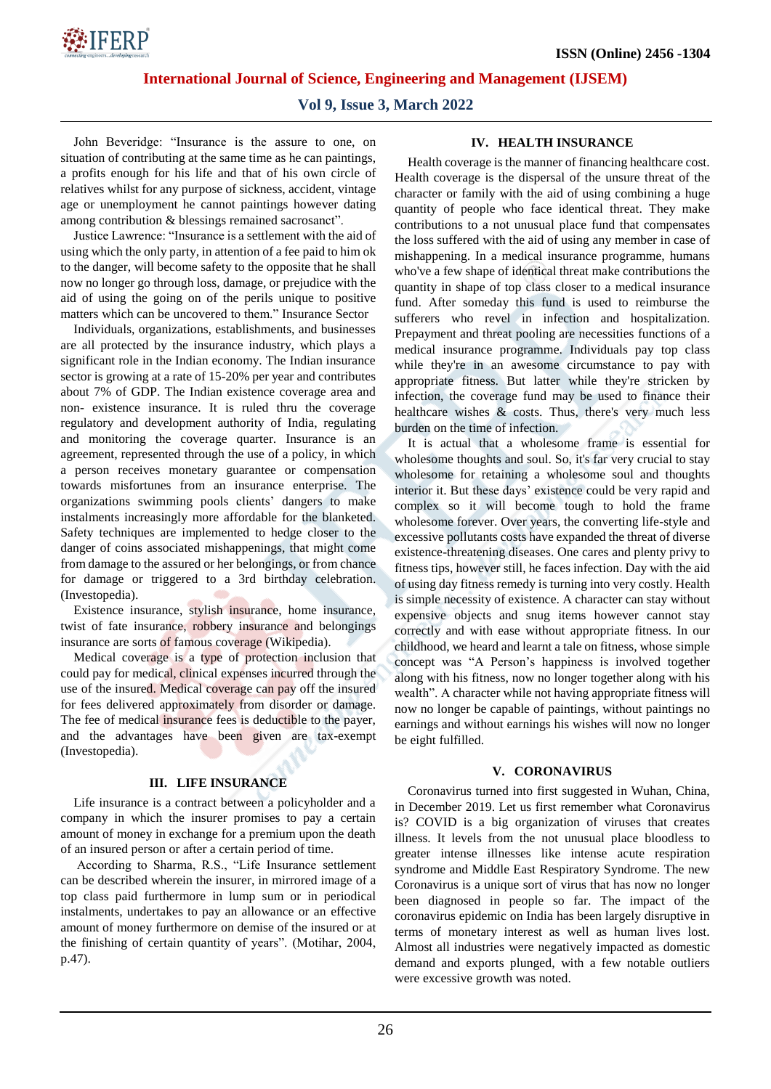

**Vol 9, Issue 3, March 2022**

John Beveridge: "Insurance is the assure to one, on situation of contributing at the same time as he can paintings, a profits enough for his life and that of his own circle of relatives whilst for any purpose of sickness, accident, vintage age or unemployment he cannot paintings however dating among contribution & blessings remained sacrosanct".

Justice Lawrence: "Insurance is a settlement with the aid of using which the only party, in attention of a fee paid to him ok to the danger, will become safety to the opposite that he shall now no longer go through loss, damage, or prejudice with the aid of using the going on of the perils unique to positive matters which can be uncovered to them." Insurance Sector

Individuals, organizations, establishments, and businesses are all protected by the insurance industry, which plays a significant role in the Indian economy. The Indian insurance sector is growing at a rate of 15-20% per year and contributes about 7% of GDP. The Indian existence coverage area and non- existence insurance. It is ruled thru the coverage regulatory and development authority of India, regulating and monitoring the coverage quarter. Insurance is an agreement, represented through the use of a policy, in which a person receives monetary guarantee or compensation towards misfortunes from an insurance enterprise. The organizations swimming pools clients' dangers to make instalments increasingly more affordable for the blanketed. Safety techniques are implemented to hedge closer to the danger of coins associated mishappenings, that might come from damage to the assured or her belongings, or from chance for damage or triggered to a 3rd birthday celebration. (Investopedia).

Existence insurance, stylish insurance, home insurance, twist of fate insurance, robbery insurance and belongings insurance are sorts of famous coverage (Wikipedia).

Medical coverage is a type of protection inclusion that could pay for medical, clinical expenses incurred through the use of the insured. Medical coverage can pay off the insured for fees delivered approximately from disorder or damage. The fee of medical insurance fees is deductible to the payer, and the advantages have been given are tax-exempt (Investopedia).

## **III. LIFE INSURANCE**

Life insurance is a contract between a policyholder and a company in which the insurer promises to pay a certain amount of money in exchange for a premium upon the death of an insured person or after a certain period of time.

According to Sharma, R.S., "Life Insurance settlement can be described wherein the insurer, in mirrored image of a top class paid furthermore in lump sum or in periodical instalments, undertakes to pay an allowance or an effective amount of money furthermore on demise of the insured or at the finishing of certain quantity of years". (Motihar, 2004, p.47).

## **IV. HEALTH INSURANCE**

Health coverage is the manner of financing healthcare cost. Health coverage is the dispersal of the unsure threat of the character or family with the aid of using combining a huge quantity of people who face identical threat. They make contributions to a not unusual place fund that compensates the loss suffered with the aid of using any member in case of mishappening. In a medical insurance programme, humans who've a few shape of identical threat make contributions the quantity in shape of top class closer to a medical insurance fund. After someday this fund is used to reimburse the sufferers who revel in infection and hospitalization. Prepayment and threat pooling are necessities functions of a medical insurance programme. Individuals pay top class while they're in an awesome circumstance to pay with appropriate fitness. But latter while they're stricken by infection, the coverage fund may be used to finance their healthcare wishes & costs. Thus, there's very much less burden on the time of infection.

It is actual that a wholesome frame is essential for wholesome thoughts and soul. So, it's far very crucial to stay wholesome for retaining a wholesome soul and thoughts interior it. But these days' existence could be very rapid and complex so it will become tough to hold the frame wholesome forever. Over years, the converting life-style and excessive pollutants costs have expanded the threat of diverse existence-threatening diseases. One cares and plenty privy to fitness tips, however still, he faces infection. Day with the aid of using day fitness remedy is turning into very costly. Health is simple necessity of existence. A character can stay without expensive objects and snug items however cannot stay correctly and with ease without appropriate fitness. In our childhood, we heard and learnt a tale on fitness, whose simple concept was "A Person's happiness is involved together along with his fitness, now no longer together along with his wealth". A character while not having appropriate fitness will now no longer be capable of paintings, without paintings no earnings and without earnings his wishes will now no longer be eight fulfilled.

## **V. CORONAVIRUS**

Coronavirus turned into first suggested in Wuhan, China, in December 2019. Let us first remember what Coronavirus is? COVID is a big organization of viruses that creates illness. It levels from the not unusual place bloodless to greater intense illnesses like intense acute respiration syndrome and Middle East Respiratory Syndrome. The new Coronavirus is a unique sort of virus that has now no longer been diagnosed in people so far. The impact of the coronavirus epidemic on India has been largely disruptive in terms of monetary interest as well as human lives lost. Almost all industries were negatively impacted as domestic demand and exports plunged, with a few notable outliers were excessive growth was noted.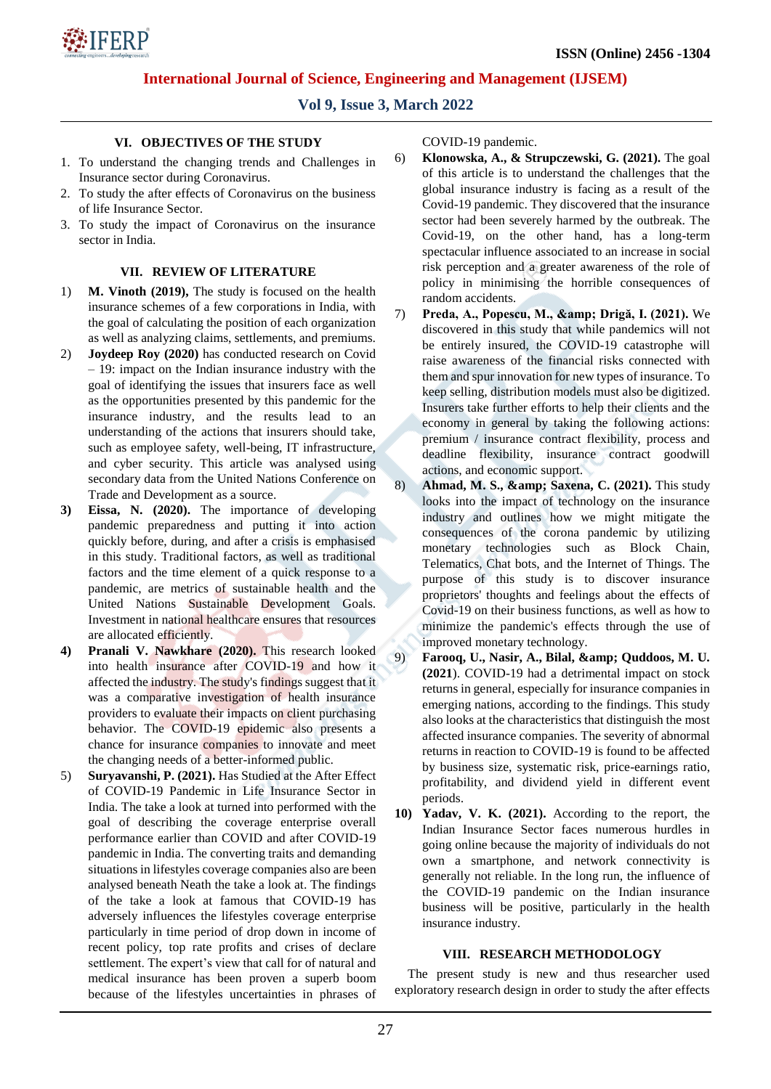

# **Vol 9, Issue 3, March 2022**

## **VI. OBJECTIVES OF THE STUDY**

- 1. To understand the changing trends and Challenges in Insurance sector during Coronavirus.
- 2. To study the after effects of Coronavirus on the business of life Insurance Sector.
- 3. To study the impact of Coronavirus on the insurance sector in India.

### **VII. REVIEW OF LITERATURE**

- 1) **M. Vinoth (2019),** The study is focused on the health insurance schemes of a few corporations in India, with the goal of calculating the position of each organization as well as analyzing claims, settlements, and premiums.
- 2) **Joydeep Roy (2020)** has conducted research on Covid – 19: impact on the Indian insurance industry with the goal of identifying the issues that insurers face as well as the opportunities presented by this pandemic for the insurance industry, and the results lead to an understanding of the actions that insurers should take, such as employee safety, well-being, IT infrastructure, and cyber security. This article was analysed using secondary data from the United Nations Conference on Trade and Development as a source.
- **3) Eissa, N. (2020).** The importance of developing pandemic preparedness and putting it into action quickly before, during, and after a crisis is emphasised in this study. Traditional factors, as well as traditional factors and the time element of a quick response to a pandemic, are metrics of sustainable health and the United Nations Sustainable Development Goals. Investment in national healthcare ensures that resources are allocated efficiently.
- **4) Pranali V. Nawkhare (2020).** This research looked into health insurance after COVID-19 and how it affected the industry. The study's findings suggest that it was a comparative investigation of health insurance providers to evaluate their impacts on client purchasing behavior. The COVID-19 epidemic also presents a chance for insurance companies to innovate and meet the changing needs of a better-informed public.
- 5) **Suryavanshi, P. (2021).** Has Studied at the After Effect of COVID-19 Pandemic in Life Insurance Sector in India. The take a look at turned into performed with the goal of describing the coverage enterprise overall performance earlier than COVID and after COVID-19 pandemic in India. The converting traits and demanding situations in lifestyles coverage companies also are been analysed beneath Neath the take a look at. The findings of the take a look at famous that COVID-19 has adversely influences the lifestyles coverage enterprise particularly in time period of drop down in income of recent policy, top rate profits and crises of declare settlement. The expert's view that call for of natural and medical insurance has been proven a superb boom because of the lifestyles uncertainties in phrases of

COVID-19 pandemic.

- 6) **Klonowska, A., & Strupczewski, G. (2021).** The goal of this article is to understand the challenges that the global insurance industry is facing as a result of the Covid-19 pandemic. They discovered that the insurance sector had been severely harmed by the outbreak. The Covid-19, on the other hand, has a long-term spectacular influence associated to an increase in social risk perception and a greater awareness of the role of policy in minimising the horrible consequences of random accidents.
- 7) Preda, A., Popescu, M., & amp; Drigă, I. (2021). We discovered in this study that while pandemics will not be entirely insured, the COVID-19 catastrophe will raise awareness of the financial risks connected with them and spur innovation for new types of insurance. To keep selling, distribution models must also be digitized. Insurers take further efforts to help their clients and the economy in general by taking the following actions: premium / insurance contract flexibility, process and deadline flexibility, insurance contract goodwill actions, and economic support.
- 8) **Ahmad, M. S., & amp; Saxena, C. (2021).** This study looks into the impact of technology on the insurance industry and outlines how we might mitigate the consequences of the corona pandemic by utilizing monetary technologies such as Block Chain, Telematics, Chat bots, and the Internet of Things. The purpose of this study is to discover insurance proprietors' thoughts and feelings about the effects of Covid-19 on their business functions, as well as how to minimize the pandemic's effects through the use of improved monetary technology.
- 9) **Farooq, U., Nasir, A., Bilal, & amp; Quddoos, M. U. (2021**). COVID-19 had a detrimental impact on stock returns in general, especially for insurance companies in emerging nations, according to the findings. This study also looks at the characteristics that distinguish the most affected insurance companies. The severity of abnormal returns in reaction to COVID-19 is found to be affected by business size, systematic risk, price-earnings ratio, profitability, and dividend yield in different event periods.
- **10) Yadav, V. K. (2021).** According to the report, the Indian Insurance Sector faces numerous hurdles in going online because the majority of individuals do not own a smartphone, and network connectivity is generally not reliable. In the long run, the influence of the COVID-19 pandemic on the Indian insurance business will be positive, particularly in the health insurance industry.

#### **VIII. RESEARCH METHODOLOGY**

The present study is new and thus researcher used exploratory research design in order to study the after effects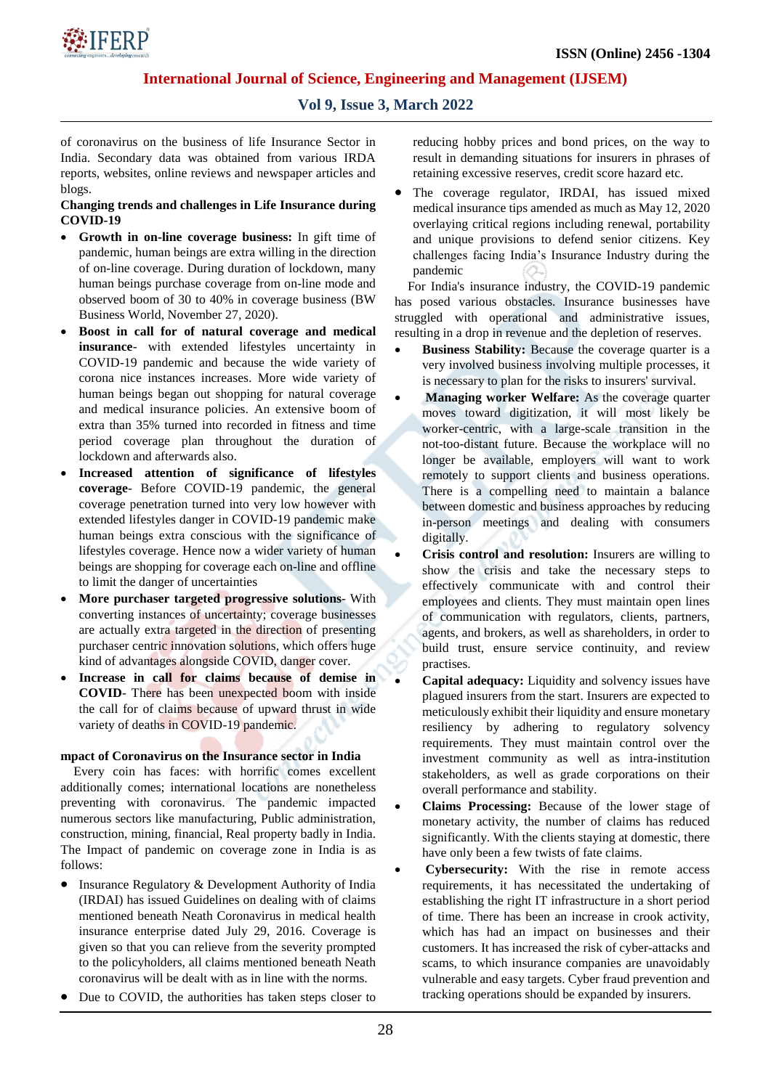

# **Vol 9, Issue 3, March 2022**

of coronavirus on the business of life Insurance Sector in India. Secondary data was obtained from various IRDA reports, websites, online reviews and newspaper articles and blogs.

## **Changing trends and challenges in Life Insurance during COVID-19**

- **Growth in on-line coverage business:** In gift time of pandemic, human beings are extra willing in the direction of on-line coverage. During duration of lockdown, many human beings purchase coverage from on-line mode and observed boom of 30 to 40% in coverage business (BW Business World, November 27, 2020).
- **Boost in call for of natural coverage and medical insurance**- with extended lifestyles uncertainty in COVID-19 pandemic and because the wide variety of corona nice instances increases. More wide variety of human beings began out shopping for natural coverage and medical insurance policies. An extensive boom of extra than 35% turned into recorded in fitness and time period coverage plan throughout the duration of lockdown and afterwards also.
- **Increased attention of significance of lifestyles coverage**- Before COVID-19 pandemic, the general coverage penetration turned into very low however with extended lifestyles danger in COVID-19 pandemic make human beings extra conscious with the significance of lifestyles coverage. Hence now a wider variety of human beings are shopping for coverage each on-line and offline to limit the danger of uncertainties
- **More purchaser targeted progressive solutions** With converting instances of uncertainty; coverage businesses are actually extra targeted in the direction of presenting purchaser centric innovation solutions, which offers huge kind of advantages alongside COVID, danger cover.
- **Increase in call for claims because of demise in COVID**- There has been unexpected boom with inside the call for of claims because of upward thrust in wide variety of deaths in COVID-19 pandemic.

## **mpact of Coronavirus on the Insurance sector in India**

Every coin has faces: with horrific comes excellent additionally comes; international locations are nonetheless preventing with coronavirus. The pandemic impacted numerous sectors like manufacturing, Public administration, construction, mining, financial, Real property badly in India. The Impact of pandemic on coverage zone in India is as follows:

- Insurance Regulatory & Development Authority of India (IRDAI) has issued Guidelines on dealing with of claims mentioned beneath Neath Coronavirus in medical health insurance enterprise dated July 29, 2016. Coverage is given so that you can relieve from the severity prompted to the policyholders, all claims mentioned beneath Neath coronavirus will be dealt with as in line with the norms.
- Due to COVID, the authorities has taken steps closer to

reducing hobby prices and bond prices, on the way to result in demanding situations for insurers in phrases of retaining excessive reserves, credit score hazard etc.

 The coverage regulator, IRDAI, has issued mixed medical insurance tips amended as much as May 12, 2020 overlaying critical regions including renewal, portability and unique provisions to defend senior citizens. Key challenges facing India's Insurance Industry during the pandemic

For India's insurance industry, the COVID-19 pandemic has posed various obstacles. Insurance businesses have struggled with operational and administrative issues, resulting in a drop in revenue and the depletion of reserves.

- **Business Stability:** Because the coverage quarter is a very involved business involving multiple processes, it is necessary to plan for the risks to insurers' survival.
- **Managing worker Welfare:** As the coverage quarter moves toward digitization, it will most likely be worker-centric, with a large-scale transition in the not-too-distant future. Because the workplace will no longer be available, employers will want to work remotely to support clients and business operations. There is a compelling need to maintain a balance between domestic and business approaches by reducing in-person meetings and dealing with consumers digitally.
- **Crisis control and resolution:** Insurers are willing to show the crisis and take the necessary steps to effectively communicate with and control their employees and clients. They must maintain open lines of communication with regulators, clients, partners, agents, and brokers, as well as shareholders, in order to build trust, ensure service continuity, and review practises.
- **Capital adequacy:** Liquidity and solvency issues have plagued insurers from the start. Insurers are expected to meticulously exhibit their liquidity and ensure monetary resiliency by adhering to regulatory solvency requirements. They must maintain control over the investment community as well as intra-institution stakeholders, as well as grade corporations on their overall performance and stability.
- **Claims Processing:** Because of the lower stage of monetary activity, the number of claims has reduced significantly. With the clients staying at domestic, there have only been a few twists of fate claims.
- **Cybersecurity:** With the rise in remote access requirements, it has necessitated the undertaking of establishing the right IT infrastructure in a short period of time. There has been an increase in crook activity, which has had an impact on businesses and their customers. It has increased the risk of cyber-attacks and scams, to which insurance companies are unavoidably vulnerable and easy targets. Cyber fraud prevention and tracking operations should be expanded by insurers.